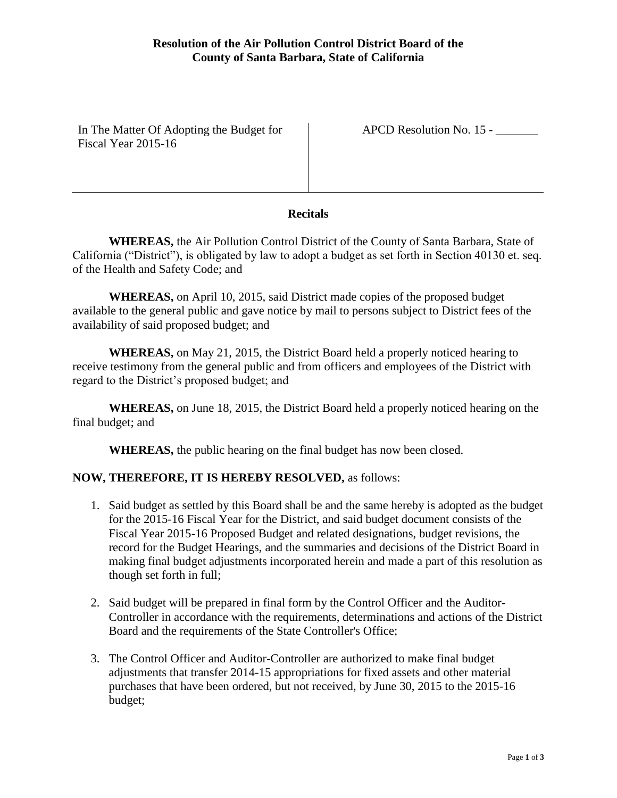In The Matter Of Adopting the Budget for Fiscal Year 2015-16

APCD Resolution No. 15 - \_\_\_\_\_\_\_

## **Recitals**

**WHEREAS,** the Air Pollution Control District of the County of Santa Barbara, State of California ("District"), is obligated by law to adopt a budget as set forth in Section 40130 et. seq. of the Health and Safety Code; and

**WHEREAS,** on April 10, 2015, said District made copies of the proposed budget available to the general public and gave notice by mail to persons subject to District fees of the availability of said proposed budget; and

**WHEREAS,** on May 21, 2015, the District Board held a properly noticed hearing to receive testimony from the general public and from officers and employees of the District with regard to the District's proposed budget; and

**WHEREAS,** on June 18, 2015, the District Board held a properly noticed hearing on the final budget; and

**WHEREAS,** the public hearing on the final budget has now been closed.

# **NOW, THEREFORE, IT IS HEREBY RESOLVED,** as follows:

- 1. Said budget as settled by this Board shall be and the same hereby is adopted as the budget for the 2015-16 Fiscal Year for the District, and said budget document consists of the Fiscal Year 2015-16 Proposed Budget and related designations, budget revisions, the record for the Budget Hearings, and the summaries and decisions of the District Board in making final budget adjustments incorporated herein and made a part of this resolution as though set forth in full;
- 2. Said budget will be prepared in final form by the Control Officer and the Auditor-Controller in accordance with the requirements, determinations and actions of the District Board and the requirements of the State Controller's Office;
- 3. The Control Officer and Auditor-Controller are authorized to make final budget adjustments that transfer 2014-15 appropriations for fixed assets and other material purchases that have been ordered, but not received, by June 30, 2015 to the 2015-16 budget;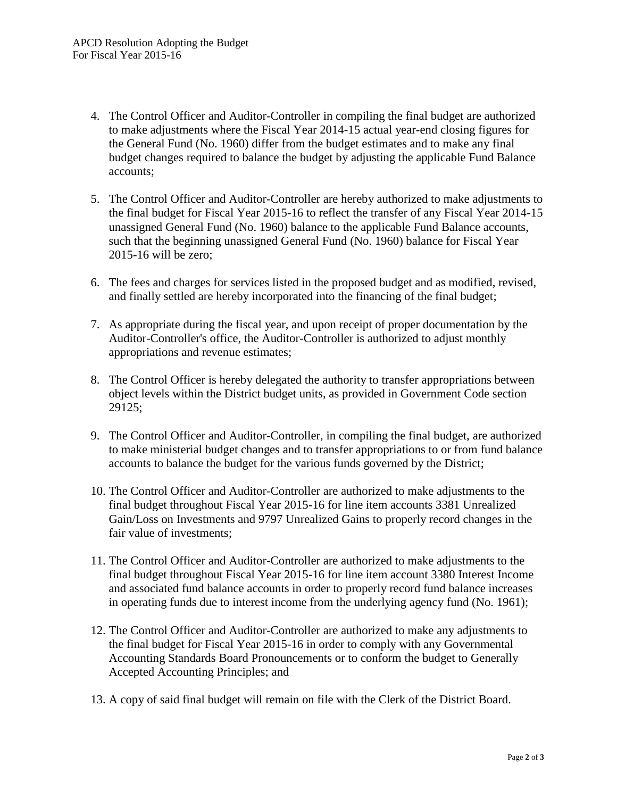- 4. The Control Officer and Auditor-Controller in compiling the final budget are authorized to make adjustments where the Fiscal Year 2014-15 actual year-end closing figures for the General Fund (No. 1960) differ from the budget estimates and to make any final budget changes required to balance the budget by adjusting the applicable Fund Balance accounts;
- 5. The Control Officer and Auditor-Controller are hereby authorized to make adjustments to the final budget for Fiscal Year 2015-16 to reflect the transfer of any Fiscal Year 2014-15 unassigned General Fund (No. 1960) balance to the applicable Fund Balance accounts, such that the beginning unassigned General Fund (No. 1960) balance for Fiscal Year 2015-16 will be zero;
- 6. The fees and charges for services listed in the proposed budget and as modified, revised, and finally settled are hereby incorporated into the financing of the final budget;
- 7. As appropriate during the fiscal year, and upon receipt of proper documentation by the Auditor-Controller's office, the Auditor-Controller is authorized to adjust monthly appropriations and revenue estimates;
- 8. The Control Officer is hereby delegated the authority to transfer appropriations between object levels within the District budget units, as provided in Government Code section 29125;
- 9. The Control Officer and Auditor-Controller, in compiling the final budget, are authorized to make ministerial budget changes and to transfer appropriations to or from fund balance accounts to balance the budget for the various funds governed by the District;
- 10. The Control Officer and Auditor-Controller are authorized to make adjustments to the final budget throughout Fiscal Year 2015-16 for line item accounts 3381 Unrealized Gain/Loss on Investments and 9797 Unrealized Gains to properly record changes in the fair value of investments;
- 11. The Control Officer and Auditor-Controller are authorized to make adjustments to the final budget throughout Fiscal Year 2015-16 for line item account 3380 Interest Income and associated fund balance accounts in order to properly record fund balance increases in operating funds due to interest income from the underlying agency fund (No. 1961);
- 12. The Control Officer and Auditor-Controller are authorized to make any adjustments to the final budget for Fiscal Year 2015-16 in order to comply with any Governmental Accounting Standards Board Pronouncements or to conform the budget to Generally Accepted Accounting Principles; and
- 13. A copy of said final budget will remain on file with the Clerk of the District Board.